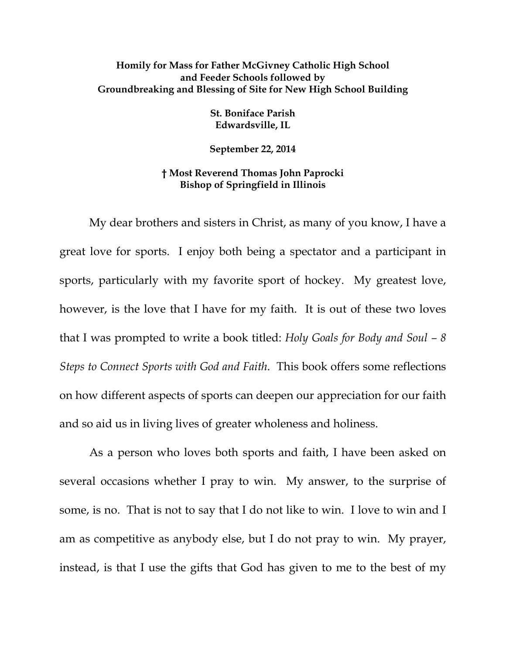## **Homily for Mass for Father McGivney Catholic High School and Feeder Schools followed by Groundbreaking and Blessing of Site for New High School Building**

**St. Boniface Parish Edwardsville, IL** 

**September 22, 2014** 

## **† Most Reverend Thomas John Paprocki Bishop of Springfield in Illinois**

My dear brothers and sisters in Christ, as many of you know, I have a great love for sports. I enjoy both being a spectator and a participant in sports, particularly with my favorite sport of hockey. My greatest love, however, is the love that I have for my faith. It is out of these two loves that I was prompted to write a book titled: *Holy Goals for Body and Soul – 8 Steps to Connect Sports with God and Faith*. This book offers some reflections on how different aspects of sports can deepen our appreciation for our faith and so aid us in living lives of greater wholeness and holiness.

As a person who loves both sports and faith, I have been asked on several occasions whether I pray to win. My answer, to the surprise of some, is no. That is not to say that I do not like to win. I love to win and I am as competitive as anybody else, but I do not pray to win. My prayer, instead, is that I use the gifts that God has given to me to the best of my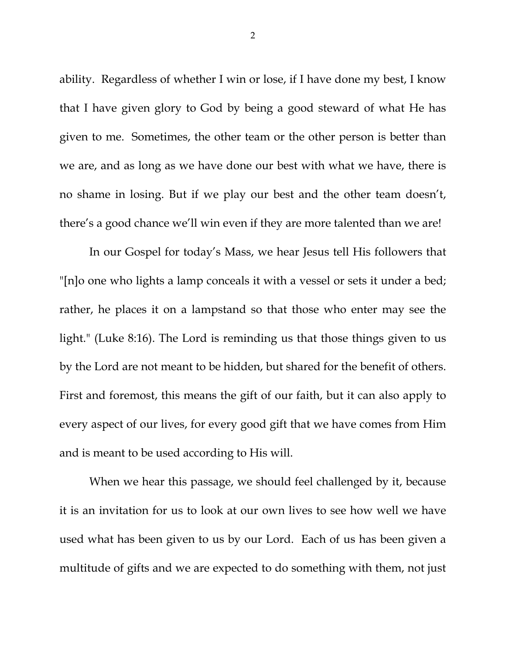ability. Regardless of whether I win or lose, if I have done my best, I know that I have given glory to God by being a good steward of what He has given to me. Sometimes, the other team or the other person is better than we are, and as long as we have done our best with what we have, there is no shame in losing. But if we play our best and the other team doesn't, there's a good chance we'll win even if they are more talented than we are!

In our Gospel for today's Mass, we hear Jesus tell His followers that "[n]o one who lights a lamp conceals it with a vessel or sets it under a bed; rather, he places it on a lampstand so that those who enter may see the light." (Luke 8:16). The Lord is reminding us that those things given to us by the Lord are not meant to be hidden, but shared for the benefit of others. First and foremost, this means the gift of our faith, but it can also apply to every aspect of our lives, for every good gift that we have comes from Him and is meant to be used according to His will.

When we hear this passage, we should feel challenged by it, because it is an invitation for us to look at our own lives to see how well we have used what has been given to us by our Lord. Each of us has been given a multitude of gifts and we are expected to do something with them, not just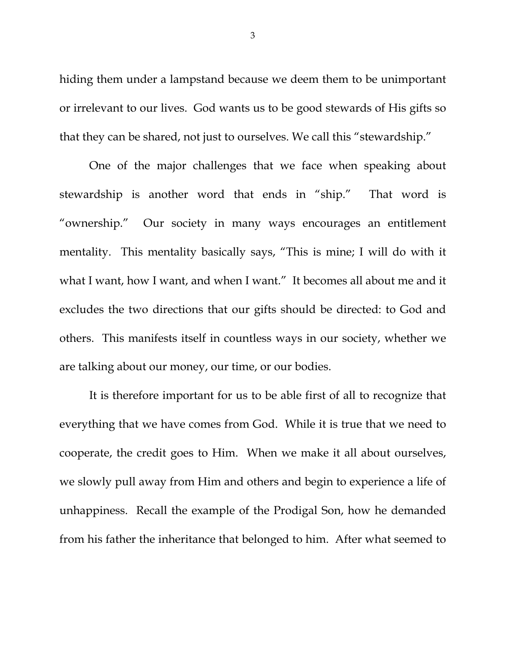hiding them under a lampstand because we deem them to be unimportant or irrelevant to our lives. God wants us to be good stewards of His gifts so that they can be shared, not just to ourselves. We call this "stewardship."

One of the major challenges that we face when speaking about stewardship is another word that ends in "ship." That word is "ownership." Our society in many ways encourages an entitlement mentality. This mentality basically says, "This is mine; I will do with it what I want, how I want, and when I want." It becomes all about me and it excludes the two directions that our gifts should be directed: to God and others. This manifests itself in countless ways in our society, whether we are talking about our money, our time, or our bodies.

It is therefore important for us to be able first of all to recognize that everything that we have comes from God. While it is true that we need to cooperate, the credit goes to Him. When we make it all about ourselves, we slowly pull away from Him and others and begin to experience a life of unhappiness. Recall the example of the Prodigal Son, how he demanded from his father the inheritance that belonged to him. After what seemed to

3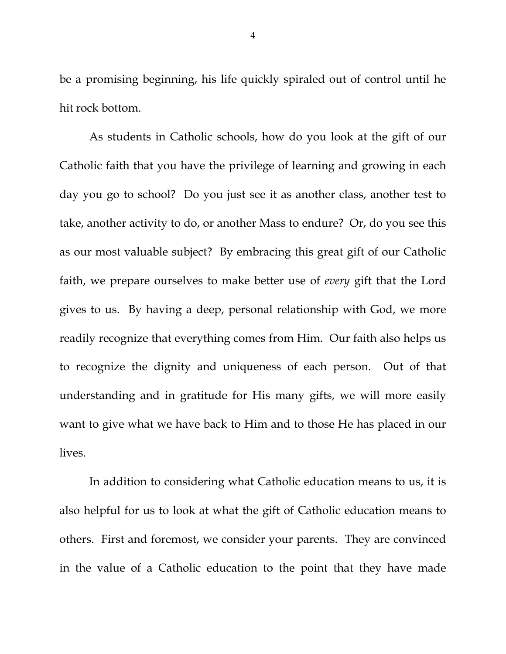be a promising beginning, his life quickly spiraled out of control until he hit rock bottom.

As students in Catholic schools, how do you look at the gift of our Catholic faith that you have the privilege of learning and growing in each day you go to school? Do you just see it as another class, another test to take, another activity to do, or another Mass to endure? Or, do you see this as our most valuable subject? By embracing this great gift of our Catholic faith, we prepare ourselves to make better use of *every* gift that the Lord gives to us. By having a deep, personal relationship with God, we more readily recognize that everything comes from Him. Our faith also helps us to recognize the dignity and uniqueness of each person. Out of that understanding and in gratitude for His many gifts, we will more easily want to give what we have back to Him and to those He has placed in our lives.

In addition to considering what Catholic education means to us, it is also helpful for us to look at what the gift of Catholic education means to others. First and foremost, we consider your parents. They are convinced in the value of a Catholic education to the point that they have made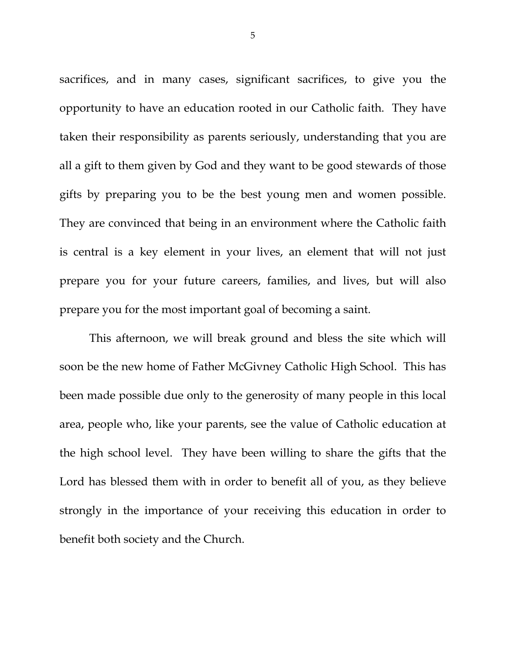sacrifices, and in many cases, significant sacrifices, to give you the opportunity to have an education rooted in our Catholic faith. They have taken their responsibility as parents seriously, understanding that you are all a gift to them given by God and they want to be good stewards of those gifts by preparing you to be the best young men and women possible. They are convinced that being in an environment where the Catholic faith is central is a key element in your lives, an element that will not just prepare you for your future careers, families, and lives, but will also prepare you for the most important goal of becoming a saint.

This afternoon, we will break ground and bless the site which will soon be the new home of Father McGivney Catholic High School. This has been made possible due only to the generosity of many people in this local area, people who, like your parents, see the value of Catholic education at the high school level. They have been willing to share the gifts that the Lord has blessed them with in order to benefit all of you, as they believe strongly in the importance of your receiving this education in order to benefit both society and the Church.